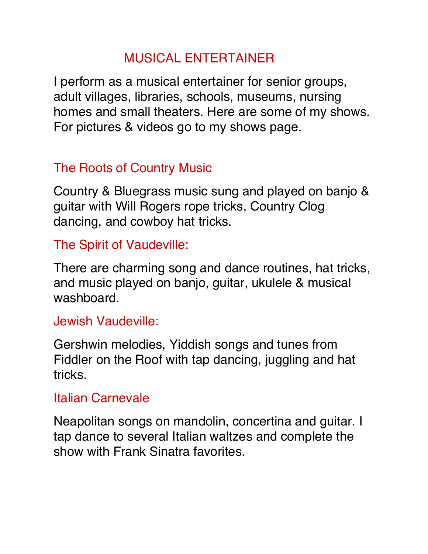# MUSICAL ENTERTAINER

I perform as a musical entertainer for senior groups, adult villages, libraries, schools, museums, nursing homes and small theaters. Here are some of my shows. For pictures & videos go to my shows page.

# The Roots of Country Music

Country & Bluegrass music sung and played on banjo & guitar with Will Rogers rope tricks, Country Clog dancing, and cowboy hat tricks.

#### The Spirit of Vaudeville:

There are charming song and dance routines, hat tricks, and music played on banjo, guitar, ukulele & musical washboard.

#### Jewish Vaudeville:

Gershwin melodies, Yiddish songs and tunes from Fiddler on the Roof with tap dancing, juggling and hat tricks.

#### Italian Carnevale

Neapolitan songs on mandolin, concertina and guitar. I tap dance to several Italian waltzes and complete the show with Frank Sinatra favorites.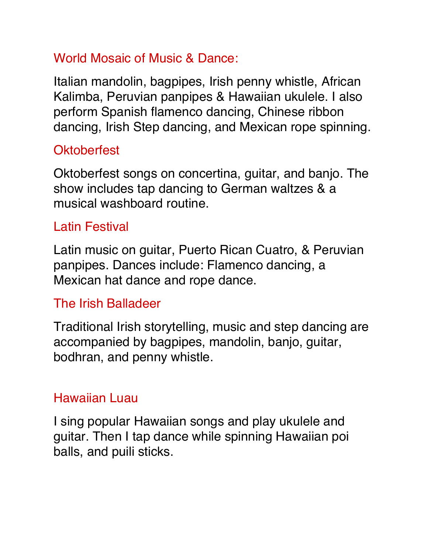# World Mosaic of Music & Dance:

Italian mandolin, bagpipes, Irish penny whistle, African Kalimba, Peruvian panpipes & Hawaiian ukulele. I also perform Spanish flamenco dancing, Chinese ribbon dancing, Irish Step dancing, and Mexican rope spinning.

# **Oktoberfest**

Oktoberfest songs on concertina, guitar, and banjo. The show includes tap dancing to German waltzes & a musical washboard routine.

## Latin Festival

Latin music on guitar, Puerto Rican Cuatro, & Peruvian panpipes. Dances include: Flamenco dancing, a Mexican hat dance and rope dance.

## The Irish Balladeer

Traditional Irish storytelling, music and step dancing are accompanied by bagpipes, mandolin, banjo, guitar, bodhran, and penny whistle.

## Hawaiian Luau

I sing popular Hawaiian songs and play ukulele and guitar. Then I tap dance while spinning Hawaiian poi balls, and puili sticks.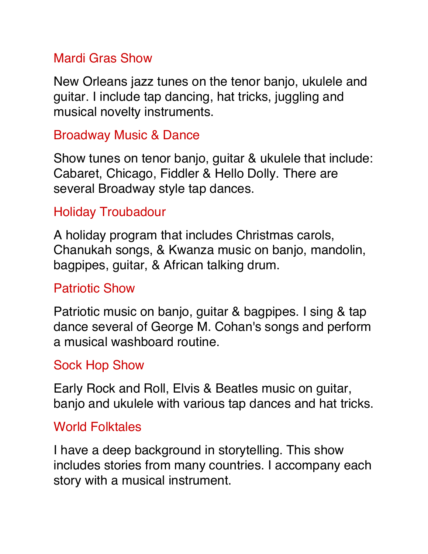### Mardi Gras Show

New Orleans jazz tunes on the tenor banjo, ukulele and guitar. I include tap dancing, hat tricks, juggling and musical novelty instruments.

### Broadway Music & Dance

Show tunes on tenor banjo, guitar & ukulele that include: Cabaret, Chicago, Fiddler & Hello Dolly. There are several Broadway style tap dances.

## Holiday Troubadour

A holiday program that includes Christmas carols, Chanukah songs, & Kwanza music on banjo, mandolin, bagpipes, guitar, & African talking drum.

### Patriotic Show

Patriotic music on banjo, guitar & bagpipes. I sing & tap dance several of George M. Cohan's songs and perform a musical washboard routine.

### Sock Hop Show

Early Rock and Roll, Elvis & Beatles music on guitar, banjo and ukulele with various tap dances and hat tricks.

### World Folktales

I have a deep background in storytelling. This show includes stories from many countries. I accompany each story with a musical instrument.